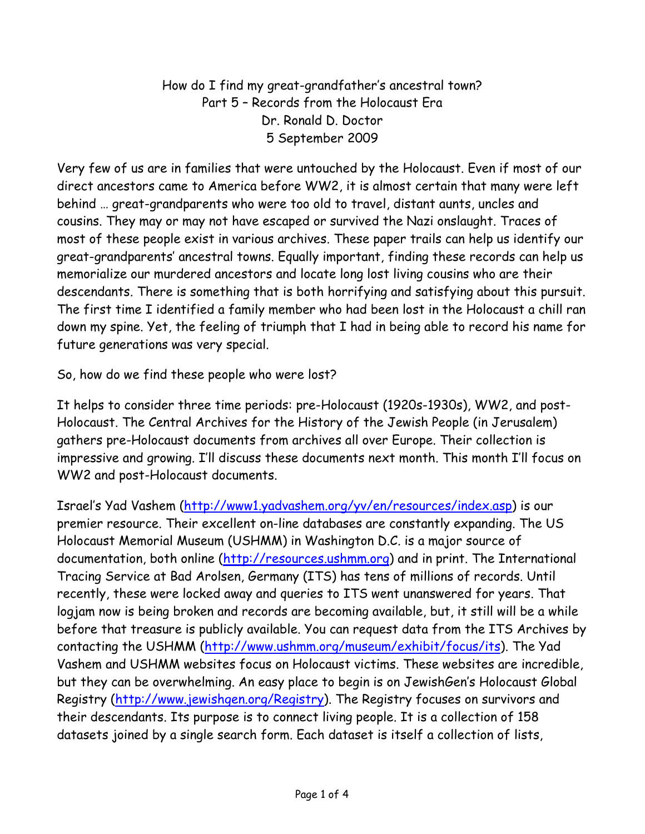How do I find my great-grandfather's ancestral town? Part 5 – Records from the Holocaust Era Dr. Ronald D. Doctor 5 September 2009

Very few of us are in families that were untouched by the Holocaust. Even if most of our direct ancestors came to America before WW2, it is almost certain that many were left behind … great-grandparents who were too old to travel, distant aunts, uncles and cousins. They may or may not have escaped or survived the Nazi onslaught. Traces of most of these people exist in various archives. These paper trails can help us identify our great-grandparents' ancestral towns. Equally important, finding these records can help us memorialize our murdered ancestors and locate long lost living cousins who are their descendants. There is something that is both horrifying and satisfying about this pursuit. The first time I identified a family member who had been lost in the Holocaust a chill ran down my spine. Yet, the feeling of triumph that I had in being able to record his name for future generations was very special.

So, how do we find these people who were lost?

It helps to consider three time periods: pre-Holocaust (1920s-1930s), WW2, and post-Holocaust. The Central Archives for the History of the Jewish People (in Jerusalem) gathers pre-Holocaust documents from archives all over Europe. Their collection is impressive and growing. I'll discuss these documents next month. This month I'll focus on WW2 and post-Holocaust documents.

Israel's Yad Vashem (http://www1.yadvashem.org/yv/en/resources/index.asp) is our premier resource. Their excellent on-line databases are constantly expanding. The US Holocaust Memorial Museum (USHMM) in Washington D.C. is a major source of documentation, both online (http://resources.ushmm.org) and in print. The International Tracing Service at Bad Arolsen, Germany (ITS) has tens of millions of records. Until recently, these were locked away and queries to ITS went unanswered for years. That logjam now is being broken and records are becoming available, but, it still will be a while before that treasure is publicly available. You can request data from the ITS Archives by contacting the USHMM (http://www.ushmm.org/museum/exhibit/focus/its). The Yad Vashem and USHMM websites focus on Holocaust victims. These websites are incredible, but they can be overwhelming. An easy place to begin is on JewishGen's Holocaust Global Registry (http://www.jewishgen.org/Registry). The Registry focuses on survivors and their descendants. Its purpose is to connect living people. It is a collection of 158 datasets joined by a single search form. Each dataset is itself a collection of lists,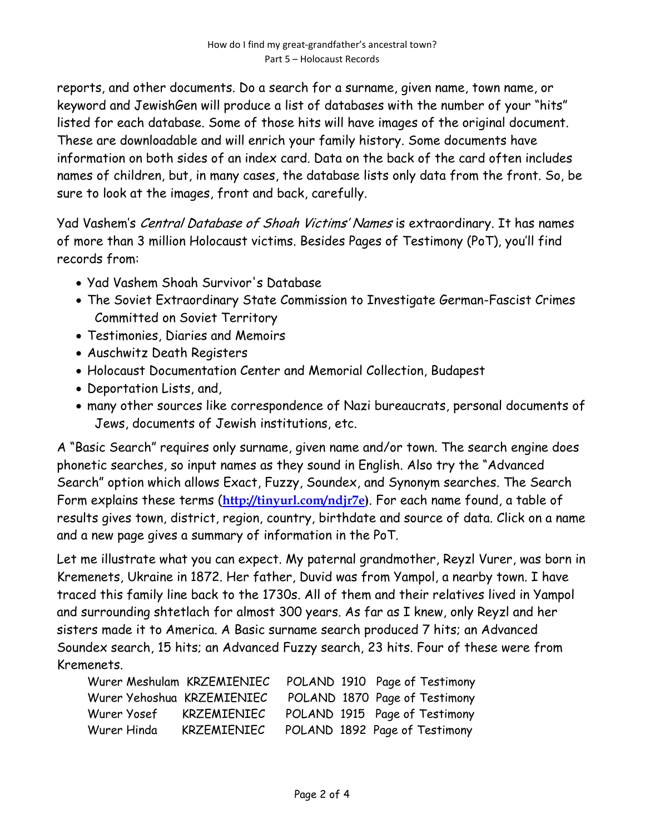reports, and other documents. Do a search for a surname, given name, town name, or keyword and JewishGen will produce a list of databases with the number of your "hits" listed for each database. Some of those hits will have images of the original document. These are downloadable and will enrich your family history. Some documents have information on both sides of an index card. Data on the back of the card often includes names of children, but, in many cases, the database lists only data from the front. So, be sure to look at the images, front and back, carefully.

Yad Vashem's Central Database of Shoah Victims' Names is extraordinary. It has names of more than 3 million Holocaust victims. Besides Pages of Testimony (PoT), you'll find records from:

- Yad Vashem Shoah Survivor's Database
- The Soviet Extraordinary State Commission to Investigate German-Fascist Crimes Committed on Soviet Territory
- Testimonies, Diaries and Memoirs
- Auschwitz Death Registers
- Holocaust Documentation Center and Memorial Collection, Budapest
- Deportation Lists, and,
- many other sources like correspondence of Nazi bureaucrats, personal documents of Jews, documents of Jewish institutions, etc.

A "Basic Search" requires only surname, given name and/or town. The search engine does phonetic searches, so input names as they sound in English. Also try the "Advanced Search" option which allows Exact, Fuzzy, Soundex, and Synonym searches. The Search Form explains these terms (http://tinyurl.com/ndjr7e). For each name found, a table of results gives town, district, region, country, birthdate and source of data. Click on a name and a new page gives a summary of information in the PoT.

Let me illustrate what you can expect. My paternal grandmother, Reyzl Vurer, was born in Kremenets, Ukraine in 1872. Her father, Duvid was from Yampol, a nearby town. I have traced this family line back to the 1730s. All of them and their relatives lived in Yampol and surrounding shtetlach for almost 300 years. As far as I knew, only Reyzl and her sisters made it to America. A Basic surname search produced 7 hits; an Advanced Soundex search, 15 hits; an Advanced Fuzzy search, 23 hits. Four of these were from Kremenets.

|                            | Wurer Meshulam KRZEMIENIEC |  | POLAND 1910 Page of Testimony |
|----------------------------|----------------------------|--|-------------------------------|
| Wurer Yehoshua KRZEMIENIEC |                            |  | POLAND 1870 Page of Testimony |
| Wurer Yosef                | <b>KRZEMIENIEC</b>         |  | POLAND 1915 Page of Testimony |
| Wurer Hinda                | <b>KRZEMIENIEC</b>         |  | POLAND 1892 Page of Testimony |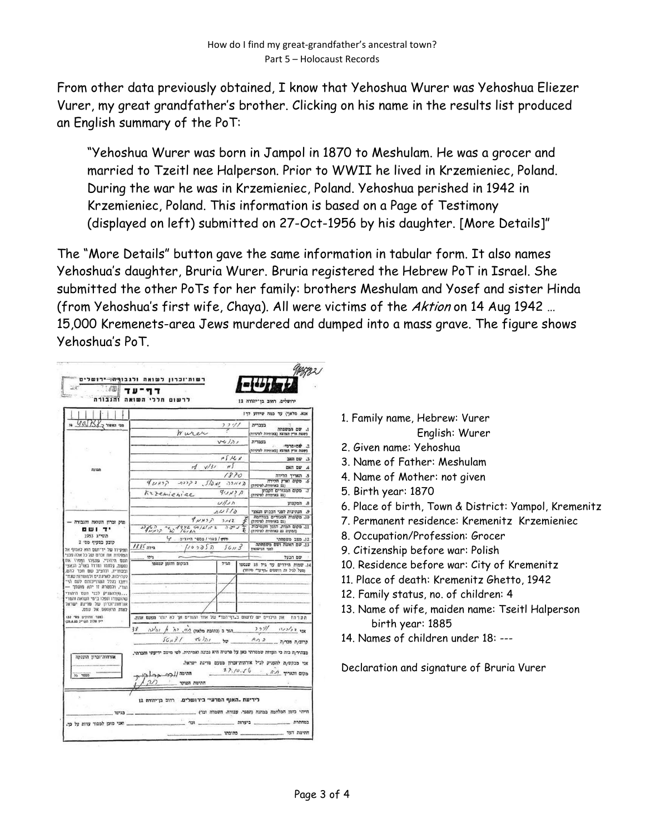From other data previously obtained, I know that Yehoshua Wurer was Yehoshua Eliezer Vurer, my great grandfather's brother. Clicking on his name in the results list produced an English summary of the PoT:

"Yehoshua Wurer was born in Jampol in 1870 to Meshulam. He was a grocer and married to Tzeitl nee Halperson. Prior to WWII he lived in Krzemieniec, Poland. During the war he was in Krzemieniec, Poland. Yehoshua perished in 1942 in Krzemieniec, Poland. This information is based on a Page of Testimony (displayed on left) submitted on 27-Oct-1956 by his daughter. [More Details]"

The "More Details" button gave the same information in tabular form. It also names Yehoshua's daughter, Bruria Wurer. Bruria registered the Hebrew PoT in Israel. She submitted the other PoTs for her family: brothers Meshulam and Yosef and sister Hinda (from Yehoshua's first wife, Chaya). All were victims of the Aktion on 14 Aug 1942 ... 15,000 Kremenets-area Jews murdered and dumped into a mass grave. The figure shows Yehoshua's PoT.

| 1.111                                                                                         | רשות וכרון לשואה ולנבורה ירושלים                                                                                                                                                                                                        |                                                                                             |                                                                        |  |
|-----------------------------------------------------------------------------------------------|-----------------------------------------------------------------------------------------------------------------------------------------------------------------------------------------------------------------------------------------|---------------------------------------------------------------------------------------------|------------------------------------------------------------------------|--|
|                                                                                               | לרשום חללי השואה והנכורה                                                                                                                                                                                                                |                                                                                             | ירושלים. רחוב בן־יהודה 12                                              |  |
|                                                                                               |                                                                                                                                                                                                                                         |                                                                                             | אנא. מלא(י) עד כמה שידוע לך!                                           |  |
| $190\sqrt{15}$ or $100$<br>month                                                              | Wuren                                                                                                                                                                                                                                   | 221/<br>בעברית<br>1. שם המשפחה<br>בשפת ארץ המוצא (באותיות לסיניות)                          |                                                                        |  |
|                                                                                               |                                                                                                                                                                                                                                         | $v_4/2$<br>בעברית<br>2. שמאפרטי<br>בשפת ארץ המוצא (באומיות לסיניות)                         |                                                                        |  |
|                                                                                               |                                                                                                                                                                                                                                         | $P_{f}$ $M$<br>3. שם האב                                                                    |                                                                        |  |
|                                                                                               | $\frac{d}{dx}$ $\sqrt{3}i$ $\pi$ <sup>5</sup>                                                                                                                                                                                           | DRT DV 4                                                                                    |                                                                        |  |
|                                                                                               | GONES INGL, SAIR GEAUP                                                                                                                                                                                                                  | 1870                                                                                        | 5. תאריך הלידה<br>6. מקום וארץ הלידה<br>(גם באותיות לסיניות)           |  |
|                                                                                               | Kizemienier                                                                                                                                                                                                                             | 9/1177                                                                                      | מקום המגורים הקבוע<br>(גם באותיות לטיניות)                             |  |
|                                                                                               |                                                                                                                                                                                                                                         | U/I                                                                                         | 8. המקצוע                                                              |  |
| תוק זכרון השואה והגבורה -                                                                     | $9\mu$ NSA 3142                                                                                                                                                                                                                         | 011510<br>9. הנתינות לפני הכבוש הנאצי<br>10. מקומות המגורים במלחמה<br>(נגם באותיות לטיניות) |                                                                        |  |
| <b>DUIT'</b>                                                                                  | adding "12" / CO) xlot 2 230                                                                                                                                                                                                            |                                                                                             | 11. מקום המות, הזמן והנסיבות<br>(המקום גם באותיות לשיניות)             |  |
| תשייג 1953<br>קובע בסעיף מס׳ 2                                                                | דור / נשוי / מספר היקדים  Y                                                                                                                                                                                                             |                                                                                             | 12. מצב משפחתי                                                         |  |
| תפקידו של יד־תוס הוא לאסוף אל                                                                 | $1885$ 772<br>$1/100050$ $56/3$                                                                                                                                                                                                         |                                                                                             | 13. שם האשה ושם משפחתה<br>לפני הניסואין                                |  |
| המולרת את זכרם של כל אלה מבני                                                                 | מלו                                                                                                                                                                                                                                     |                                                                                             | שם הבעל                                                                |  |
| העם היהודי. עצפוו ומסוו את<br>נפשם. נלחמו ומרדו באויב הנאצי<br>ובפחדיו, ולהציב שם חכר להם,    | הכקום והזמן שנספו                                                                                                                                                                                                                       | הגיל                                                                                        | 14. שמות הילדים עד גיל 18 שנספו<br>ומעל לגיל זה רושמים - דף עדי מיותר) |  |
| לטהילות, לארגונים ולמוטדות שנת־<br>וחבו בגלל השתייכותם לעם היי<br>הודי, ולמטרה זו יהא מוסמך - |                                                                                                                                                                                                                                         |                                                                                             |                                                                        |  |
| ואזלהעניק לבני העם היהודי<br>שהושמדו ונפלו בימי השואה והמרי                                   |                                                                                                                                                                                                                                         |                                                                                             |                                                                        |  |
| אזרחות־זכרון של מדינת ישראל<br>לאות היאספס אל עמם.                                            |                                                                                                                                                                                                                                         |                                                                                             |                                                                        |  |
| (32 '90 0'0'00 199)<br>ייז אלול תמיינ 48.83(28.8.5)                                           | הערה! את הילדים יש לרשום ב,דף־העד" של אחד ההורים אך לא יותר מפעם אתה.<br>אמי <i>ג כ'ככרו</i> //???<br>אמי <i>ג כ'ככרו //???</i><br>קרובעת מכרעה כ <i>'. כ- מי האשר</i> ב (כתובת מלאה <i>ם ליו, יה ל<sub>ן</sub> ו</i> מ <sup>ע</sup> כה |                                                                                             |                                                                        |  |
|                                                                                               | 38                                                                                                                                                                                                                                      |                                                                                             |                                                                        |  |
|                                                                                               |                                                                                                                                                                                                                                         |                                                                                             |                                                                        |  |
| אזרחות־זכרון הוענקה                                                                           | מצהיר/ה בזה כי העדות שמסרתי כאן על פרטיה היא נכונה ואמיתית. לפי מיטב ידיעתי והכרתי,                                                                                                                                                     |                                                                                             |                                                                        |  |
|                                                                                               |                                                                                                                                                                                                                                         |                                                                                             | אני מבקש/ת להעניק לנ"ל אורתות־זכרון מטעם מדינת ישראל.<br>27.10.56      |  |
| N2 7000                                                                                       | חתימה // כפי בר ל הו<br>התימת הפוקד                                                                                                                                                                                                     |                                                                                             | מקום ותאריך ו/ "                                                       |  |
|                                                                                               |                                                                                                                                                                                                                                         |                                                                                             |                                                                        |  |
|                                                                                               | לידיעת האנף המדעי בירושלים. רחוב בדיהודה 12                                                                                                                                                                                             |                                                                                             |                                                                        |  |
|                                                                                               |                                                                                                                                                                                                                                         |                                                                                             |                                                                        |  |
|                                                                                               |                                                                                                                                                                                                                                         |                                                                                             |                                                                        |  |

- 1. Family name, Hebrew: Vurer English: Wurer
- 2. Given name: Yehoshua
- 3. Name of Father: Meshulam
- 4. Name of Mother: not given
- 5. Birth year: 1870
- 6. Place of birth, Town & District: Yampol, Kremenitz
- 7. Permanent residence: Kremenitz Krzemieniec
- 8. Occupation/Profession: Grocer
- 9. Citizenship before war: Polish
- 10. Residence before war: City of Kremenitz
- 11. Place of death: Kremenitz Ghetto, 1942
- 12. Family status, no. of children: 4
- 13. Name of wife, maiden name: Tseitl Halperson birth year: 1885
- 14. Names of children under 18: ---

Declaration and signature of Bruria Vurer